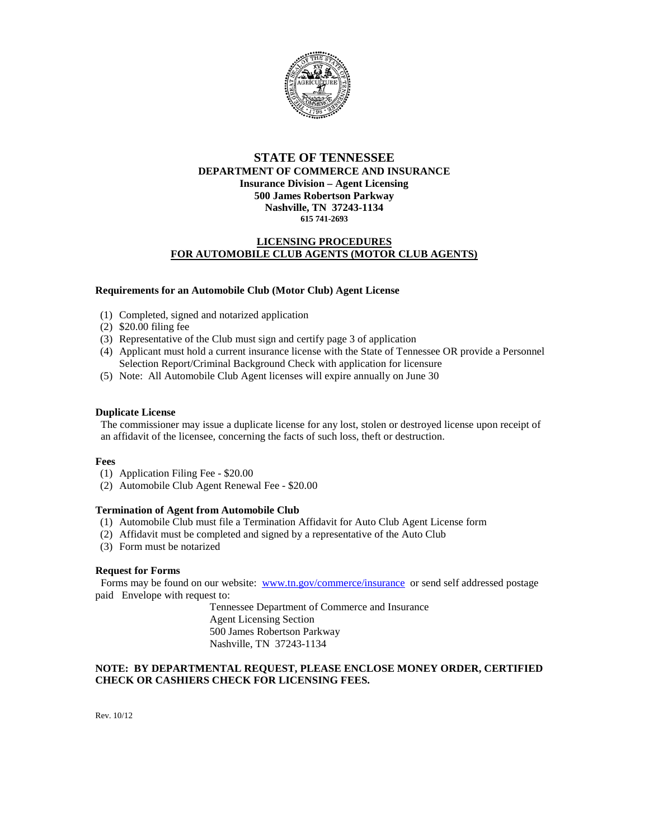

# **STATE OF TENNESSEE DEPARTMENT OF COMMERCE AND INSURANCE Insurance Division – Agent Licensing 500 James Robertson Parkway Nashville, TN 37243-1134 615 741-2693**

## **LICENSING PROCEDURES FOR AUTOMOBILE CLUB AGENTS (MOTOR CLUB AGENTS)**

#### **Requirements for an Automobile Club (Motor Club) Agent License**

- (1) Completed, signed and notarized application
- (2) \$20.00 filing fee
- (3) Representative of the Club must sign and certify page 3 of application
- (4) Applicant must hold a current insurance license with the State of Tennessee OR provide a Personnel Selection Report/Criminal Background Check with application for licensure
- (5) Note: All Automobile Club Agent licenses will expire annually on June 30

#### **Duplicate License**

 The commissioner may issue a duplicate license for any lost, stolen or destroyed license upon receipt of an affidavit of the licensee, concerning the facts of such loss, theft or destruction.

#### **Fees**

- (1) Application Filing Fee \$20.00
- (2) Automobile Club Agent Renewal Fee \$20.00

#### **Termination of Agent from Automobile Club**

- (1) Automobile Club must file a Termination Affidavit for Auto Club Agent License form
- (2) Affidavit must be completed and signed by a representative of the Auto Club
- (3) Form must be notarized

## **Request for Forms**

Forms may be found on our website: [www.tn.gov/commerce/insurance](http://www.tn.gov/commerce/insurance) or send self addressed postage paid Envelope with request to:

> Tennessee Department of Commerce and Insurance Agent Licensing Section 500 James Robertson Parkway Nashville, TN 37243-1134

## **NOTE: BY DEPARTMENTAL REQUEST, PLEASE ENCLOSE MONEY ORDER, CERTIFIED CHECK OR CASHIERS CHECK FOR LICENSING FEES.**

Rev. 10/12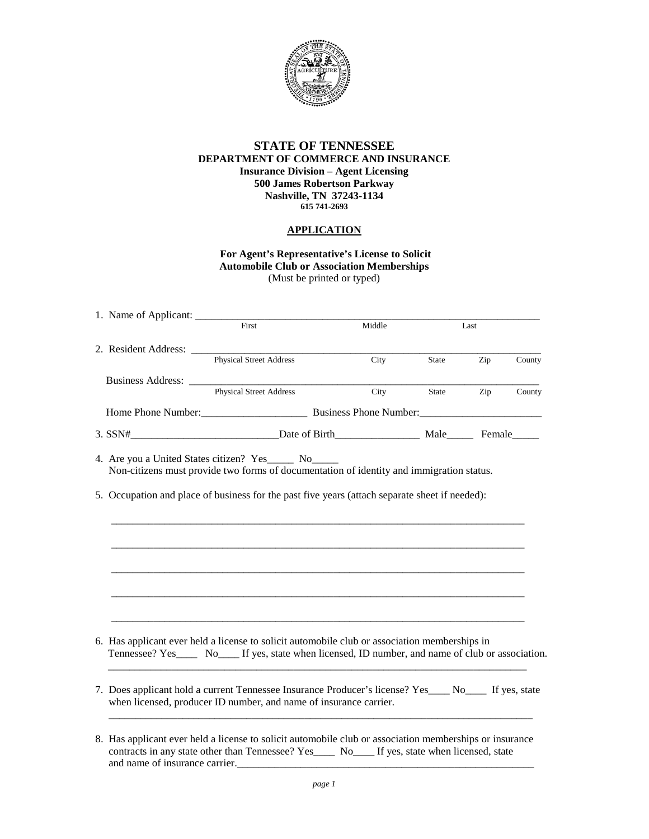

## **STATE OF TENNESSEE DEPARTMENT OF COMMERCE AND INSURANCE Insurance Division – Agent Licensing 500 James Robertson Parkway Nashville, TN 37243-1134 615 741-2693**

# **APPLICATION**

**For Agent's Representative's License to Solicit Automobile Club or Association Memberships**  (Must be printed or typed)

| First                                                                                                                                                                                                                                            | Middle | Last  |     |        |
|--------------------------------------------------------------------------------------------------------------------------------------------------------------------------------------------------------------------------------------------------|--------|-------|-----|--------|
| Physical Street Address                                                                                                                                                                                                                          | City   | State | Zip | County |
|                                                                                                                                                                                                                                                  |        |       |     |        |
| Business Address: Physical Street Address                                                                                                                                                                                                        | City   | State | Zip | County |
|                                                                                                                                                                                                                                                  |        |       |     |        |
| 3. SSN# Date of Birth Male Female                                                                                                                                                                                                                |        |       |     |        |
| 4. Are you a United States citizen? Yes______ No______<br>Non-citizens must provide two forms of documentation of identity and immigration status.                                                                                               |        |       |     |        |
| 5. Occupation and place of business for the past five years (attach separate sheet if needed):                                                                                                                                                   |        |       |     |        |
|                                                                                                                                                                                                                                                  |        |       |     |        |
|                                                                                                                                                                                                                                                  |        |       |     |        |
|                                                                                                                                                                                                                                                  |        |       |     |        |
|                                                                                                                                                                                                                                                  |        |       |     |        |
|                                                                                                                                                                                                                                                  |        |       |     |        |
|                                                                                                                                                                                                                                                  |        |       |     |        |
| 6. Has applicant ever held a license to solicit automobile club or association memberships in<br>Tennessee? Yes_____ No_____ If yes, state when licensed, ID number, and name of club or association.                                            |        |       |     |        |
| 7. Does applicant hold a current Tennessee Insurance Producer's license? Yes____ No____ If yes, state<br>when licensed, producer ID number, and name of insurance carrier.                                                                       |        |       |     |        |
| 8. Has applicant ever held a license to solicit automobile club or association memberships or insurance<br>contracts in any state other than Tennessee? Yes_______ No______ If yes, state when licensed, state<br>and name of insurance carrier. |        |       |     |        |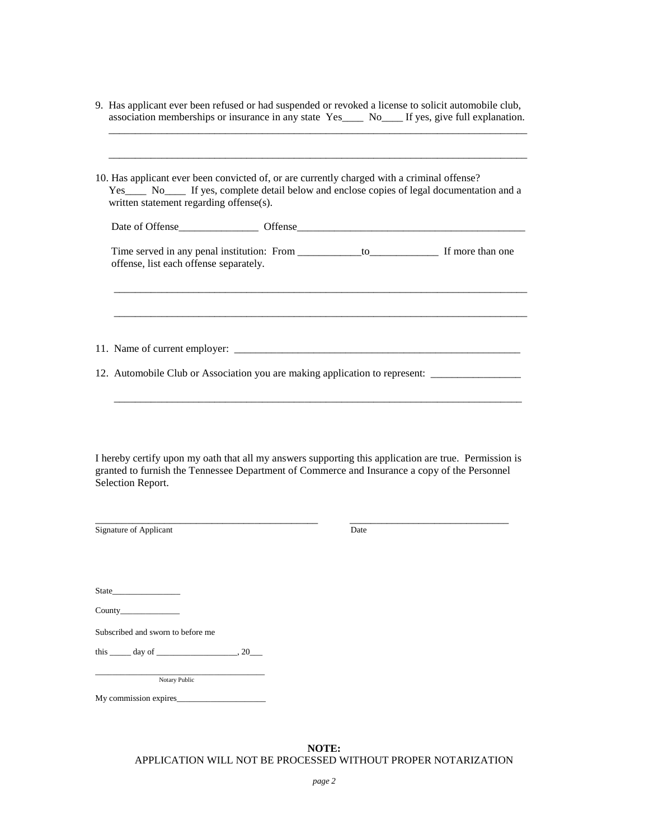| 9. Has applicant ever been refused or had suspended or revoked a license to solicit automobile club, |  |  |
|------------------------------------------------------------------------------------------------------|--|--|
| association memberships or insurance in any state Yes____ No___ If yes, give full explanation.       |  |  |
|                                                                                                      |  |  |

| 10. Has applicant ever been convicted of, or are currently charged with a criminal offense?<br>Yes No If yes, complete detail below and enclose copies of legal documentation and a<br>written statement regarding offense(s). |  |  |
|--------------------------------------------------------------------------------------------------------------------------------------------------------------------------------------------------------------------------------|--|--|
|                                                                                                                                                                                                                                |  |  |
| offense, list each offense separately.                                                                                                                                                                                         |  |  |
|                                                                                                                                                                                                                                |  |  |
|                                                                                                                                                                                                                                |  |  |
| 12. Automobile Club or Association you are making application to represent: _______________________                                                                                                                            |  |  |
|                                                                                                                                                                                                                                |  |  |

I hereby certify upon my oath that all my answers supporting this application are true. Permission is granted to furnish the Tennessee Department of Commerce and Insurance a copy of the Personnel Selection Report.

| Signature of Applicant                               | Date |
|------------------------------------------------------|------|
|                                                      |      |
|                                                      |      |
|                                                      |      |
|                                                      |      |
|                                                      |      |
|                                                      |      |
|                                                      |      |
| Subscribed and sworn to before me                    |      |
| this $\_\_\_\$ day of $\_\_\_\_\_\_\$ , 20 $\_\_\_\$ |      |
|                                                      |      |
| Notary Public                                        |      |
| My commission expires                                |      |

**NOTE:** APPLICATION WILL NOT BE PROCESSED WITHOUT PROPER NOTARIZATION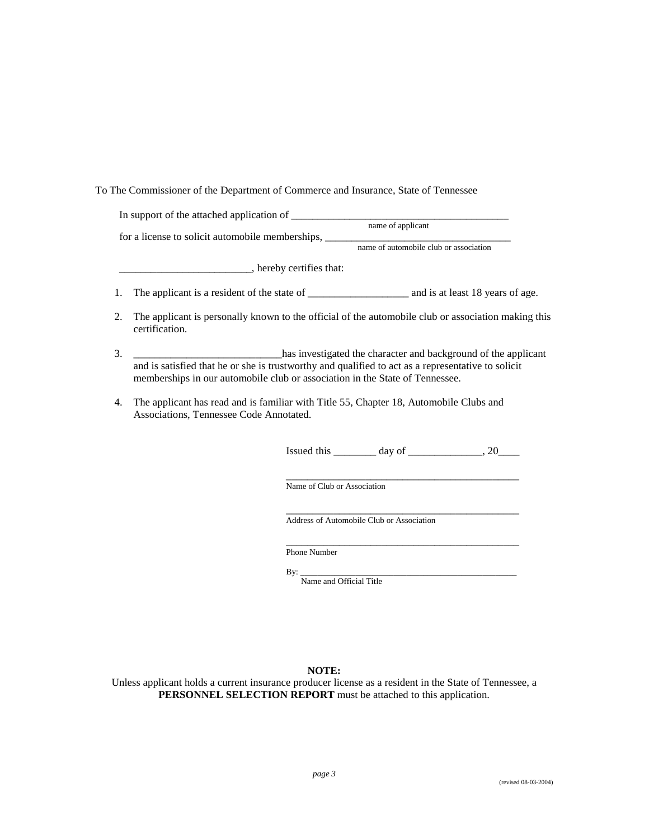## To The Commissioner of the Department of Commerce and Insurance, State of Tennessee

| 1. |                                                                                                                                                                                    |
|----|------------------------------------------------------------------------------------------------------------------------------------------------------------------------------------|
| 2. | The applicant is personally known to the official of the automobile club or association making this<br>certification.                                                              |
| 3. | has investigated the character and background of the applicant                                                                                                                     |
|    | and is satisfied that he or she is trustworthy and qualified to act as a representative to solicit<br>memberships in our automobile club or association in the State of Tennessee. |
| 4. | The applicant has read and is familiar with Title 55, Chapter 18, Automobile Clubs and<br>Associations, Tennessee Code Annotated.                                                  |
|    | Issued this $\_\_\_\_\_$ day of $\_\_\_\_\_\_$ , 20 $\_\_\_\_\_$                                                                                                                   |
|    | the contract of the contract of the contract of the contract of the contract of<br>Name of Club or Association                                                                     |
|    | Address of Automobile Club or Association                                                                                                                                          |
|    | <b>Phone Number</b>                                                                                                                                                                |

By: \_\_\_\_\_\_\_\_\_\_\_\_\_\_\_\_\_\_\_\_\_\_\_\_\_\_\_\_\_\_\_\_\_\_\_\_\_\_\_\_\_\_\_\_\_\_\_\_\_\_\_ Name and Official Title

# **NOTE:**

Unless applicant holds a current insurance producer license as a resident in the State of Tennessee, a **PERSONNEL SELECTION REPORT** must be attached to this application.